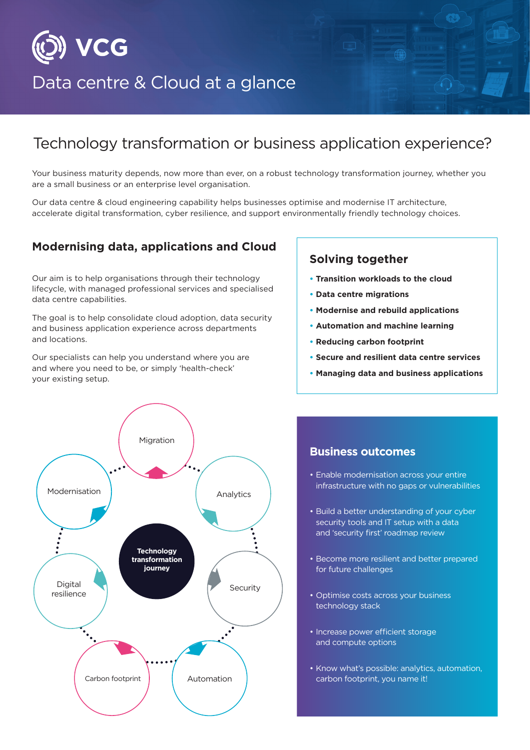

# Data centre & Cloud at a glance

## Technology transformation or business application experience?

Your business maturity depends, now more than ever, on a robust technology transformation journey, whether you are a small business or an enterprise level organisation.

Our data centre & cloud engineering capability helps businesses optimise and modernise IT architecture, accelerate digital transformation, cyber resilience, and support environmentally friendly technology choices.

### **Modernising data, applications and Cloud**

Our aim is to help organisations through their technology lifecycle, with managed professional services and specialised data centre capabilities.

The goal is to help consolidate cloud adoption, data security and business application experience across departments and locations.

Our specialists can help you understand where you are and where you need to be, or simply 'health-check' your existing setup.



- **Transition workloads to the cloud**
- **Data centre migrations**
- **Modernise and rebuild applications**
- **Automation and machine learning**
- **Reducing carbon footprint**
- **Secure and resilient data centre services**
- **Managing data and business applications**



#### **Business outcomes**

- Enable modernisation across your entire infrastructure with no gaps or vulnerabilities
- Build a better understanding of your cyber security tools and IT setup with a data and 'security first' roadmap review
- Become more resilient and better prepared for future challenges
- Optimise costs across your business technology stack
- Increase power efficient storage and compute options
- Know what's possible: analytics, automation, carbon footprint, you name it!